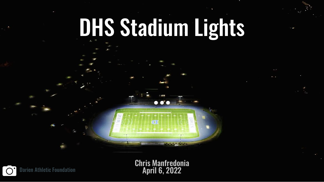# DHS Stadium Lights

Chris Manfredonia

m.

Darien Athletic Foundation  $\qquad \qquad \qquad \qquad \qquad \qquad \qquad \qquad \qquad \qquad \qquad \textbf{April 6, 2022}$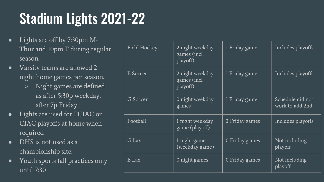# Stadium Lights 2021-22

- Lights are off by 7:30pm M-Thur and 10pm F during regular season.
- Varsity teams are allowed 2 night home games per season.
	- Night games are defined as after 5:30p weekday, after 7p Friday
- Lights are used for FCIAC or CIAC playoffs at home when required
- DHS is not used as a championship site.
- Youth sports fall practices only until 7:30

| <b>Field Hockey</b> | 2 night weekday<br>games (incl.<br>playoff) | 1 Friday game  | Includes playoffs                   |
|---------------------|---------------------------------------------|----------------|-------------------------------------|
| <b>B</b> Soccer     | 2 night weekday<br>games (incl.<br>playoff) | 1 Friday game  | Includes playoffs                   |
| G Soccer            | 0 night weekday<br>games                    | 1 Friday game  | Schedule did not<br>work to add 2nd |
| Football            | 1 night weekday<br>game (playoff)           | 2 Friday games | Includes playoffs                   |
| G Lax               | 1 night game<br>(weekday game)              | 0 Friday games | Not including<br>playoff            |
| <b>B</b> Lax        | 0 night games                               | 0 Friday games | Not including<br>playoff            |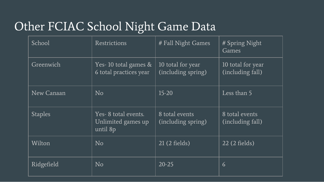### Other FCIAC School Night Game Data

| School         | Restrictions                                          | # Fall Night Games                      | # Spring Night<br><b>Games</b>        |
|----------------|-------------------------------------------------------|-----------------------------------------|---------------------------------------|
| Greenwich      | Yes-10 total games $\&$<br>6 total practices year     | 10 total for year<br>(including spring) | 10 total for year<br>(including fall) |
| New Canaan     | N <sub>o</sub>                                        | $15 - 20$                               | Less than 5                           |
| <b>Staples</b> | Yes-8 total events.<br>Unlimited games up<br>until 8p | 8 total events<br>(including spring)    | 8 total events<br>(including fall)    |
| Wilton         | N <sub>o</sub>                                        | $21(2$ fields)                          | 22 (2 fields)                         |
| Ridgefield     | N <sub>o</sub>                                        | $20 - 25$                               | $\overline{6}$                        |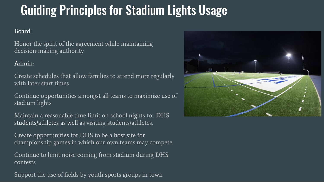# Guiding Principles for Stadium Lights Usage

#### Board:

Honor the spirit of the agreement while maintaining decision-making authority

#### Admin:

Create schedules that allow families to attend more regularly with later start times

Continue opportunities amongst all teams to maximize use of stadium lights

Maintain a reasonable time limit on school nights for DHS students/athletes as well as visiting students/athletes.

Create opportunities for DHS to be a host site for championship games in which our own teams may compete

Continue to limit noise coming from stadium during DHS contests

Support the use of fields by youth sports groups in town

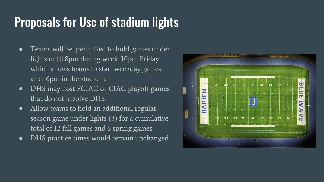# Proposals for Use of stadium lights

- Teams will be permitted to hold games under lights until 8pm during week, 10pm Friday which allows teams to start weekday games after 6pm in the stadium.
- DHS may host FCIAC or CIAC playoff games that do not involve DHS
- Allow teams to hold an additional regular season game under lights (3) for a cumulative total of 12 fall games and 6 spring games
- DHS practice times would remain unchanged